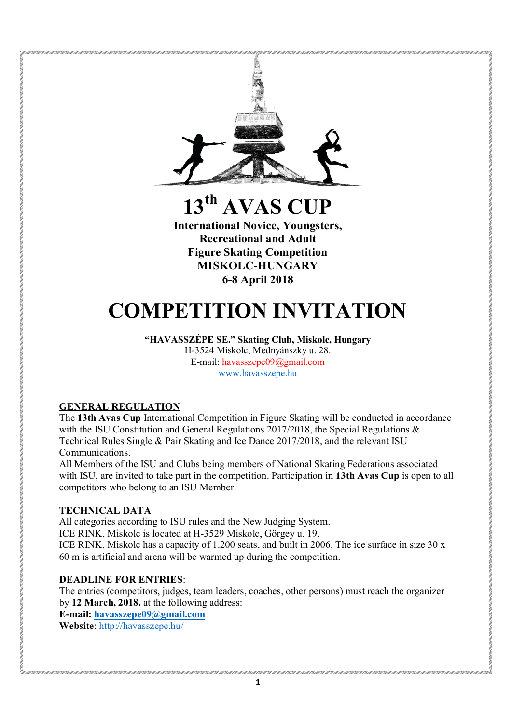

**13 th AVAS CUP International Novice, Youngsters, Recreational and Adult Figure Skating Competition MISKOLC-HUNGARY 6-8 April 2018**

# **COMPETITION INVITATION**

**"HAVASSZÉPE SE." Skating Club, Miskolc, Hungary**

H-3524 Miskolc, Mednyánszky u. 28. E-mail: havasszepe09@gmail.com www.havasszepe.hu

# **GENERAL REGULATION**

The **13th Avas Cup** International Competition in Figure Skating will be conducted in accordance with the ISU Constitution and General Regulations 2017/2018, the Special Regulations & Technical Rules Single & Pair Skating and Ice Dance 2017/2018, and the relevant ISU Communications.

All Members of the ISU and Clubs being members of National Skating Federations associated with ISU, are invited to take part in the competition. Participation in **13th Avas Cup** is open to all competitors who belong to an ISU Member.

# **TECHNICAL DATA**

All categories according to ISU rules and the New Judging System.

ICE RINK, Miskolc is located at H-3529 Miskolc, Görgey u. 19.

ICE RINK, Miskolc has a capacity of 1.200 seats, and built in 2006. The ice surface in size 30 x 60 m is artificial and arena will be warmed up during the competition.

# **DEADLINE FOR ENTRIES**:

The entries (competitors, judges, team leaders, coaches, other persons) must reach the organizer by **12 March, 2018.** at the following address:

**E-mail: havasszepe09@gmail.com**

**Website**: http://havasszepe.hu/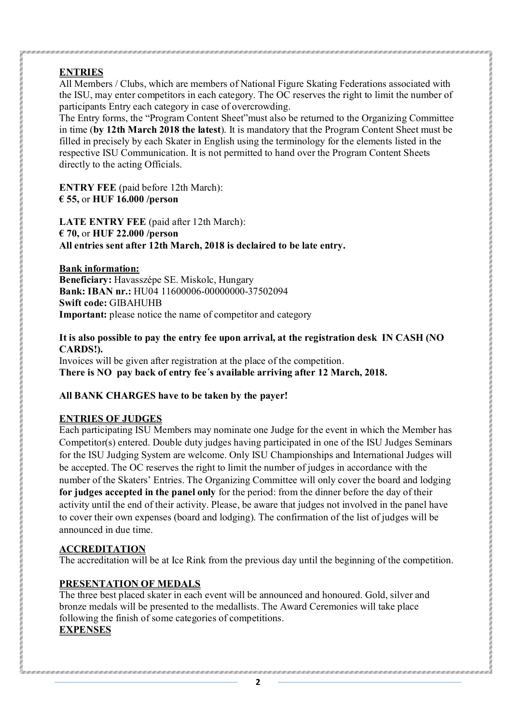# **ENTRIES**

All Members / Clubs, which are members of National Figure Skating Federations associated with the ISU, may enter competitors in each category. The OC reserves the right to limit the number of participants Entry each category in case of overcrowding.

The Entry forms, the "Program Content Sheet"must also be returned to the Organizing Committee in time (**by 12th March 2018 the latest**). It is mandatory that the Program Content Sheet must be filled in precisely by each Skater in English using the terminology for the elements listed in the respective ISU Communication. It is not permitted to hand over the Program Content Sheets directly to the acting Officials.

**ENTRY FEE** (paid before 12th March): **€ 55,** or **HUF 16.000 /person** 

**LATE ENTRY FEE** (paid after 12th March): **€ 70,** or **HUF 22.000 /person All entries sent after 12th March, 2018 is declaired to be late entry.** 

**Bank information:** 

**Beneficiary:** Havasszépe SE. Miskolc, Hungary **Bank: IBAN nr.:** HU04 11600006-00000000-37502094 **Swift code:** GIBAHUHB **Important:** please notice the name of competitor and category

# **It is also possible to pay the entry fee upon arrival, at the registration desk IN CASH (NO CARDS!).**

Invoices will be given after registration at the place of the competition. **There is NO pay back of entry fee´s available arriving after 12 March, 2018.**

# **All BANK CHARGES have to be taken by the payer!**

# **ENTRIES OF JUDGES**

Each participating ISU Members may nominate one Judge for the event in which the Member has Competitor(s) entered. Double duty judges having participated in one of the ISU Judges Seminars for the ISU Judging System are welcome. Only ISU Championships and International Judges will be accepted. The OC reserves the right to limit the number of judges in accordance with the number of the Skaters' Entries. The Organizing Committee will only cover the board and lodging **for judges accepted in the panel only** for the period: from the dinner before the day of their activity until the end of their activity. Please, be aware that judges not involved in the panel have to cover their own expenses (board and lodging). The confirmation of the list of judges will be announced in due time.

# **ACCREDITATION**

The accreditation will be at Ice Rink from the previous day until the beginning of the competition.

# **PRESENTATION OF MEDALS**

The three best placed skater in each event will be announced and honoured. Gold, silver and bronze medals will be presented to the medallists. The Award Ceremonies will take place following the finish of some categories of competitions. **EXPENSES**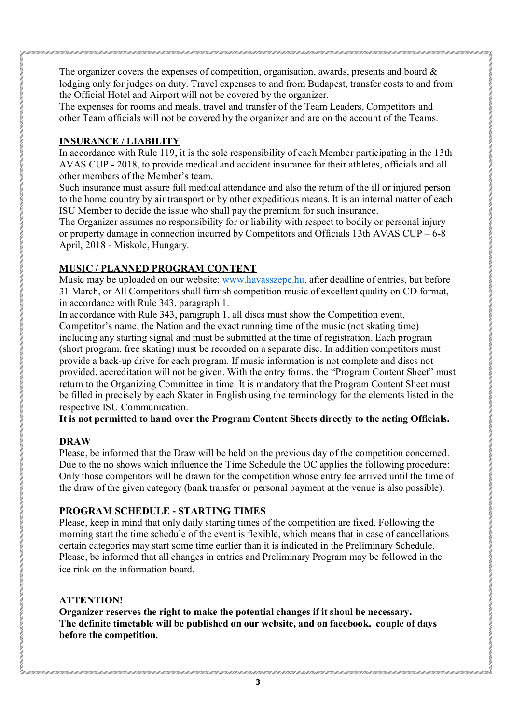The organizer covers the expenses of competition, organisation, awards, presents and board & lodging only for judges on duty. Travel expenses to and from Budapest, transfer costs to and from the Official Hotel and Airport will not be covered by the organizer.

The expenses for rooms and meals, travel and transfer of the Team Leaders, Competitors and other Team officials will not be covered by the organizer and are on the account of the Teams.

#### **INSURANCE / LIABILITY**

In accordance with Rule 119, it is the sole responsibility of each Member participating in the 13th AVAS CUP - 2018, to provide medical and accident insurance for their athletes, officials and all other members of the Member's team.

Such insurance must assure full medical attendance and also the return of the ill or injured person to the home country by air transport or by other expeditious means. It is an internal matter of each ISU Member to decide the issue who shall pay the premium for such insurance.

The Organizer assumes no responsibility for or liability with respect to bodily or personal injury or property damage in connection incurred by Competitors and Officials 13th AVAS CUP – 6-8 April, 2018 - Miskolc, Hungary.

## **MUSIC / PLANNED PROGRAM CONTENT**

Music may be uploaded on our website: www.havasszepe.hu, after deadline of entries, but before 31 March, or All Competitors shall furnish competition music of excellent quality on CD format, in accordance with Rule 343, paragraph 1.

In accordance with Rule 343, paragraph 1, all discs must show the Competition event, Competitor's name, the Nation and the exact running time of the music (not skating time) including any starting signal and must be submitted at the time of registration. Each program (short program, free skating) must be recorded on a separate disc. In addition competitors must provide a back-up drive for each program. If music information is not complete and discs not provided, accreditation will not be given. With the entry forms, the "Program Content Sheet" must return to the Organizing Committee in time. It is mandatory that the Program Content Sheet must be filled in precisely by each Skater in English using the terminology for the elements listed in the respective ISU Communication.

**It is not permitted to hand over the Program Content Sheets directly to the acting Officials.** 

### **DRAW**

Please, be informed that the Draw will be held on the previous day of the competition concerned. Due to the no shows which influence the Time Schedule the OC applies the following procedure: Only those competitors will be drawn for the competition whose entry fee arrived until the time of the draw of the given category (bank transfer or personal payment at the venue is also possible).

### **PROGRAM SCHEDULE - STARTING TIMES**

Please, keep in mind that only daily starting times of the competition are fixed. Following the morning start the time schedule of the event is flexible, which means that in case of cancellations certain categories may start some time earlier than it is indicated in the Preliminary Schedule. Please, be informed that all changes in entries and Preliminary Program may be followed in the ice rink on the information board.

### **ATTENTION!**

**Organizer reserves the right to make the potential changes if it shoul be necessary. The definite timetable will be published on our website, and on facebook, couple of days before the competition.**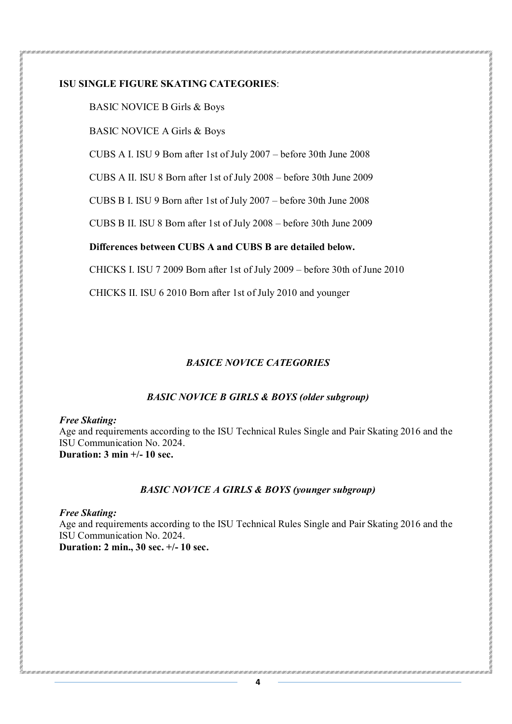## **ISU SINGLE FIGURE SKATING CATEGORIES**:

## BASIC NOVICE B Girls & Boys

BASIC NOVICE A Girls & Boys

CUBS A I. ISU 9 Born after 1st of July 2007 – before 30th June 2008

CUBS A II. ISU 8 Born after 1st of July 2008 – before 30th June 2009

CUBS B I. ISU 9 Born after 1st of July 2007 – before 30th June 2008

CUBS B II. ISU 8 Born after 1st of July 2008 – before 30th June 2009

**Differences between CUBS A and CUBS B are detailed below.**

CHICKS I. ISU 7 2009 Born after 1st of July 2009 – before 30th of June 2010

CHICKS II. ISU 6 2010 Born after 1st of July 2010 and younger

## *BASICE NOVICE CATEGORIES*

### *BASIC NOVICE B GIRLS & BOYS (older subgroup)*

#### *Free Skating:*

Age and requirements according to the ISU Technical Rules Single and Pair Skating 2016 and the ISU Communication No. 2024. **Duration: 3 min +/- 10 sec.**

#### *BASIC NOVICE A GIRLS & BOYS (younger subgroup)*

#### *Free Skating:*

Age and requirements according to the ISU Technical Rules Single and Pair Skating 2016 and the ISU Communication No. 2024. **Duration: 2 min., 30 sec. +/- 10 sec.**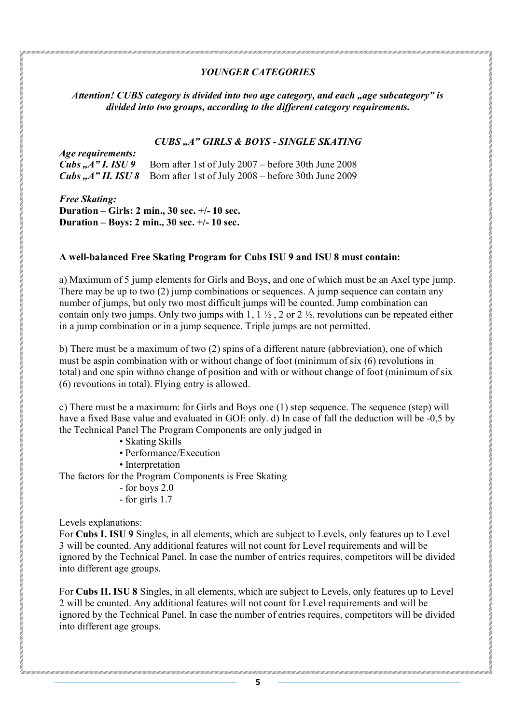# *YOUNGER CATEGORIES*

## *Attention! CUBS category is divided into two age category, and each "age subcategory" is divided into two groups, according to the different category requirements.*

#### *CUBS "A" GIRLS & BOYS - SINGLE SKATING*

| Age requirements: |                                                                                   |
|-------------------|-----------------------------------------------------------------------------------|
|                   | <b>Cubs</b> " $A''$ I. ISU 9 Born after 1st of July 2007 – before 30th June 2008  |
|                   | <b>Cubs</b> , $A''$ II. ISU 8 Born after 1st of July 2008 – before 30th June 2009 |

*Free Skating:*  **Duration – Girls: 2 min., 30 sec. +/- 10 sec. Duration – Boys: 2 min., 30 sec. +/- 10 sec.** 

#### **A well-balanced Free Skating Program for Cubs ISU 9 and ISU 8 must contain:**

a) Maximum of 5 jump elements for Girls and Boys, and one of which must be an Axel type jump. There may be up to two (2) jump combinations or sequences. A jump sequence can contain any number of jumps, but only two most difficult jumps will be counted. Jump combination can contain only two jumps. Only two jumps with 1,  $1 \frac{1}{2}$ ,  $2$  or  $2 \frac{1}{2}$  revolutions can be repeated either in a jump combination or in a jump sequence. Triple jumps are not permitted.

b) There must be a maximum of two (2) spins of a different nature (abbreviation), one of which must be aspin combination with or without change of foot (minimum of six (6) revolutions in total) and one spin withno change of position and with or without change of foot (minimum of six (6) revoutions in total). Flying entry is allowed.

1990 A 1990 A 1990 A 1990 A 1990 A 1990 A 1990 A 1990 A 1990 A 1990 A 1990 A 1990 A 1990 A 1990 A 1990 A 1990 A 1990 A 1990 A 1990 A 1990 A 1990 A 1990 A 1990 A 1990 A 1990 A 1990 A 1990 A 1990 A 1990 A 1990 A 1990 A 1990

c) There must be a maximum: for Girls and Boys one (1) step sequence. The sequence (step) will have a fixed Base value and evaluated in GOE only. d) In case of fall the deduction will be -0,5 by the Technical Panel The Program Components are only judged in

- Skating Skills
- Performance/Execution
- Interpretation

The factors for the Program Components is Free Skating

- for boys 2.0
- for girls 1.7

#### Levels explanations:

For **Cubs I. ISU 9** Singles, in all elements, which are subject to Levels, only features up to Level 3 will be counted. Any additional features will not count for Level requirements and will be ignored by the Technical Panel. In case the number of entries requires, competitors will be divided into different age groups.

For **Cubs II. ISU 8** Singles, in all elements, which are subject to Levels, only features up to Level 2 will be counted. Any additional features will not count for Level requirements and will be ignored by the Technical Panel. In case the number of entries requires, competitors will be divided into different age groups.

**5**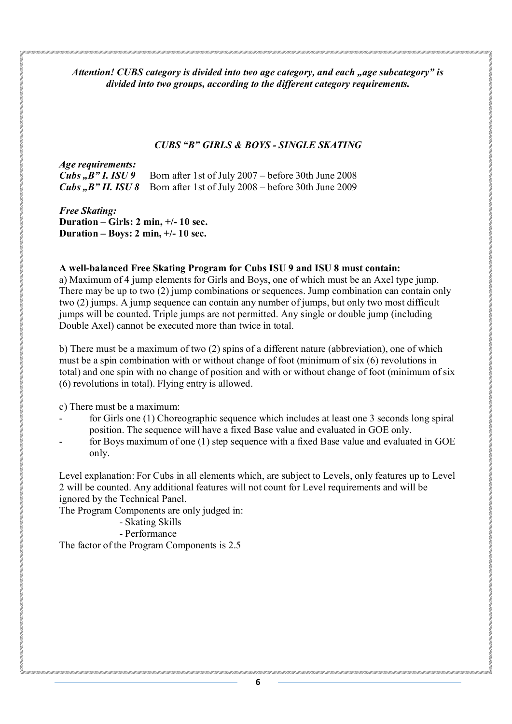*Attention! CUBS category is divided into two age category, and each "age subcategory" is divided into two groups, according to the different category requirements.*

#### *CUBS "B" GIRLS & BOYS - SINGLE SKATING*

*Age requirements:*  Born after 1st of July 2007 – before 30th June 2008 *Cubs* "*B*" *II. ISU 8* Born after 1st of July 2008 – before 30th June 2009

*Free Skating:*  **Duration – Girls: 2 min, +/- 10 sec. Duration – Boys: 2 min, +/- 10 sec.** 

#### **A well-balanced Free Skating Program for Cubs ISU 9 and ISU 8 must contain:**

a) Maximum of 4 jump elements for Girls and Boys, one of which must be an Axel type jump. There may be up to two (2) jump combinations or sequences. Jump combination can contain only two (2) jumps. A jump sequence can contain any number of jumps, but only two most difficult jumps will be counted. Triple jumps are not permitted. Any single or double jump (including Double Axel) cannot be executed more than twice in total.

b) There must be a maximum of two (2) spins of a different nature (abbreviation), one of which must be a spin combination with or without change of foot (minimum of six (6) revolutions in total) and one spin with no change of position and with or without change of foot (minimum of six (6) revolutions in total). Flying entry is allowed.

c) There must be a maximum:

- for Girls one (1) Choreographic sequence which includes at least one 3 seconds long spiral position. The sequence will have a fixed Base value and evaluated in GOE only.
- for Boys maximum of one (1) step sequence with a fixed Base value and evaluated in GOE only.

Level explanation: For Cubs in all elements which, are subject to Levels, only features up to Level 2 will be counted. Any additional features will not count for Level requirements and will be ignored by the Technical Panel.

The Program Components are only judged in:

- Skating Skills

- Performance

The factor of the Program Components is 2.5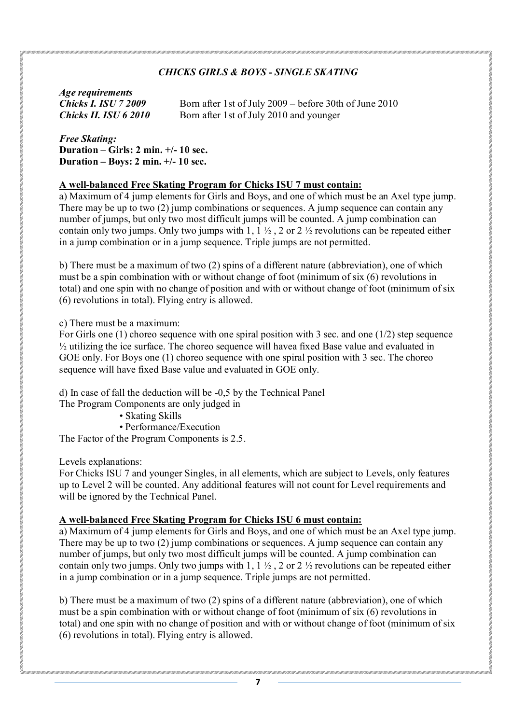# *CHICKS GIRLS & BOYS - SINGLE SKATING*

*Age requirements* 

*Chicks I. ISU 7 2009* Born after 1st of July 2009 – before 30th of June 2010 *Chicks II. ISU 6 2010* Born after 1st of July 2010 and younger

*Free Skating:*  **Duration – Girls: 2 min. +/- 10 sec. Duration – Boys: 2 min. +/- 10 sec.** 

## **A well-balanced Free Skating Program for Chicks ISU 7 must contain:**

a) Maximum of 4 jump elements for Girls and Boys, and one of which must be an Axel type jump. There may be up to two (2) jump combinations or sequences. A jump sequence can contain any number of jumps, but only two most difficult jumps will be counted. A jump combination can contain only two jumps. Only two jumps with 1,  $1 \frac{1}{2}$ , 2 or 2  $\frac{1}{2}$  revolutions can be repeated either in a jump combination or in a jump sequence. Triple jumps are not permitted.

b) There must be a maximum of two (2) spins of a different nature (abbreviation), one of which must be a spin combination with or without change of foot (minimum of six (6) revolutions in total) and one spin with no change of position and with or without change of foot (minimum of six (6) revolutions in total). Flying entry is allowed.

c) There must be a maximum:

For Girls one (1) choreo sequence with one spiral position with 3 sec. and one (1/2) step sequence  $\frac{1}{2}$  utilizing the ice surface. The choreo sequence will havea fixed Base value and evaluated in GOE only. For Boys one (1) choreo sequence with one spiral position with 3 sec. The choreo sequence will have fixed Base value and evaluated in GOE only.

d) In case of fall the deduction will be -0,5 by the Technical Panel

The Program Components are only judged in

• Skating Skills

• Performance/Execution

The Factor of the Program Components is 2.5.

Levels explanations:

For Chicks ISU 7 and younger Singles, in all elements, which are subject to Levels, only features up to Level 2 will be counted. Any additional features will not count for Level requirements and will be ignored by the Technical Panel.

# **A well-balanced Free Skating Program for Chicks ISU 6 must contain:**

a) Maximum of 4 jump elements for Girls and Boys, and one of which must be an Axel type jump. There may be up to two (2) jump combinations or sequences. A jump sequence can contain any number of jumps, but only two most difficult jumps will be counted. A jump combination can contain only two jumps. Only two jumps with 1,  $1 \frac{1}{2}$ , 2 or 2  $\frac{1}{2}$  revolutions can be repeated either in a jump combination or in a jump sequence. Triple jumps are not permitted.

b) There must be a maximum of two (2) spins of a different nature (abbreviation), one of which must be a spin combination with or without change of foot (minimum of six (6) revolutions in total) and one spin with no change of position and with or without change of foot (minimum of six (6) revolutions in total). Flying entry is allowed.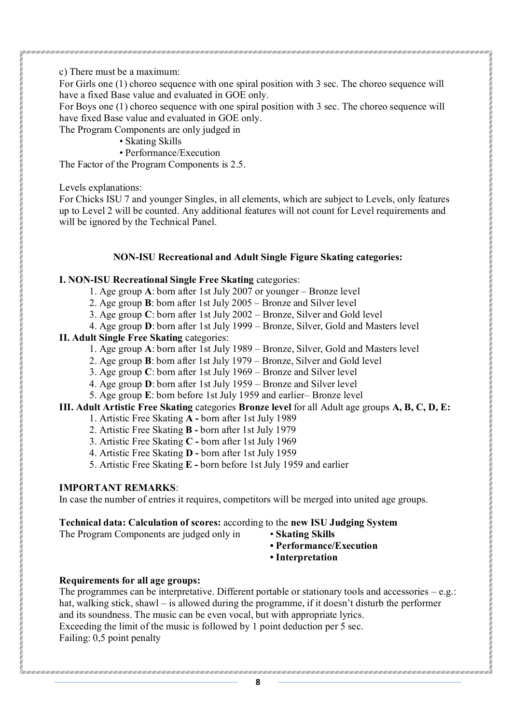## c) There must be a maximum:

For Girls one (1) choreo sequence with one spiral position with 3 sec. The choreo sequence will have a fixed Base value and evaluated in GOE only.

For Boys one (1) choreo sequence with one spiral position with 3 sec. The choreo sequence will have fixed Base value and evaluated in GOE only.

The Program Components are only judged in

- Skating Skills
- Performance/Execution

The Factor of the Program Components is 2.5.

Levels explanations:

For Chicks ISU 7 and younger Singles, in all elements, which are subject to Levels, only features up to Level 2 will be counted. Any additional features will not count for Level requirements and will be ignored by the Technical Panel.

### **NON-ISU Recreational and Adult Single Figure Skating categories:**

#### **I. NON-ISU Recreational Single Free Skating** categories:

- 1. Age group **A**: born after 1st July 2007 or younger Bronze level
- 2. Age group **B**: born after 1st July 2005 Bronze and Silver level
- 3. Age group **C**: born after 1st July 2002 Bronze, Silver and Gold level
- 4. Age group **D**: born after 1st July 1999 Bronze, Silver, Gold and Masters level

### **II. Adult Single Free Skating** categories:

- 1. Age group **A**: born after 1st July 1989 Bronze, Silver, Gold and Masters level
- 2. Age group **B**: born after 1st July 1979 Bronze, Silver and Gold level
- 3. Age group **C**: born after 1st July 1969 Bronze and Silver level
- 4. Age group **D**: born after 1st July 1959 Bronze and Silver level
- 5. Age group **E**: born before 1st July 1959 and earlier– Bronze level

## **III. Adult Artistic Free Skating** categories **Bronze level** for all Adult age groups **A, B, C, D, E:**

- 1. Artistic Free Skating **A -** born after 1st July 1989
- 2. Artistic Free Skating **B -** born after 1st July 1979
- 3. Artistic Free Skating **C -** born after 1st July 1969
- 4. Artistic Free Skating **D -** born after 1st July 1959
- 5. Artistic Free Skating **E -** born before 1st July 1959 and earlier

### **IMPORTANT REMARKS**:

In case the number of entries it requires, competitors will be merged into united age groups.

## **Technical data: Calculation of scores:** according to the **new ISU Judging System**

The Program Components are judged only in • **Skating Skills** 

- 
- **Performance/Execution**
- **Interpretation**

### **Requirements for all age groups:**

The programmes can be interpretative. Different portable or stationary tools and accessories  $-e.g.:$ hat, walking stick, shawl – is allowed during the programme, if it doesn't disturb the performer and its soundness. The music can be even vocal, but with appropriate lyrics. Exceeding the limit of the music is followed by 1 point deduction per 5 sec. Failing: 0,5 point penalty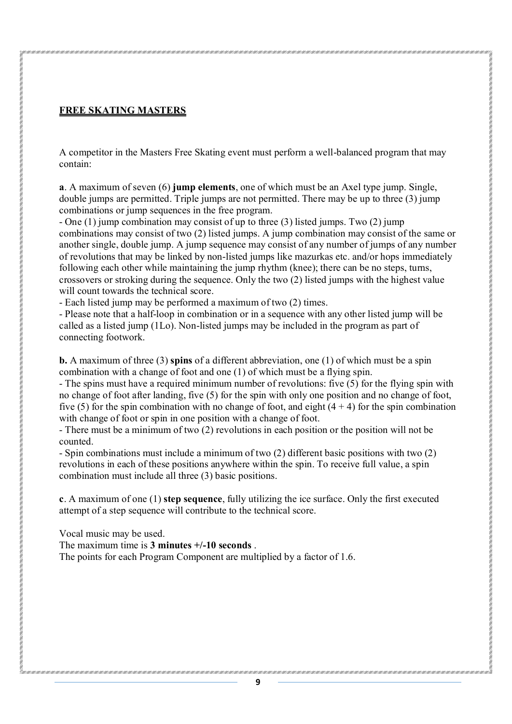A competitor in the Masters Free Skating event must perform a well-balanced program that may contain:

**a**. A maximum of seven (6) **jump elements**, one of which must be an Axel type jump. Single, double jumps are permitted. Triple jumps are not permitted. There may be up to three (3) jump combinations or jump sequences in the free program.

- One (1) jump combination may consist of up to three (3) listed jumps. Two (2) jump combinations may consist of two (2) listed jumps. A jump combination may consist of the same or another single, double jump. A jump sequence may consist of any number of jumps of any number of revolutions that may be linked by non-listed jumps like mazurkas etc. and/or hops immediately following each other while maintaining the jump rhythm (knee); there can be no steps, turns, crossovers or stroking during the sequence. Only the two (2) listed jumps with the highest value will count towards the technical score.

- Each listed jump may be performed a maximum of two (2) times.

- Please note that a half-loop in combination or in a sequence with any other listed jump will be called as a listed jump (1Lo). Non-listed jumps may be included in the program as part of connecting footwork.

**b.** A maximum of three (3) **spins** of a different abbreviation, one (1) of which must be a spin combination with a change of foot and one (1) of which must be a flying spin.

- The spins must have a required minimum number of revolutions: five (5) for the flying spin with no change of foot after landing, five (5) for the spin with only one position and no change of foot, five (5) for the spin combination with no change of foot, and eight  $(4 + 4)$  for the spin combination with change of foot or spin in one position with a change of foot.

- There must be a minimum of two (2) revolutions in each position or the position will not be counted.

- Spin combinations must include a minimum of two (2) different basic positions with two (2) revolutions in each of these positions anywhere within the spin. To receive full value, a spin combination must include all three (3) basic positions.

**c**. A maximum of one (1) **step sequence**, fully utilizing the ice surface. Only the first executed attempt of a step sequence will contribute to the technical score.

Vocal music may be used.

The maximum time is **3 minutes +/-10 seconds** .

The points for each Program Component are multiplied by a factor of 1.6.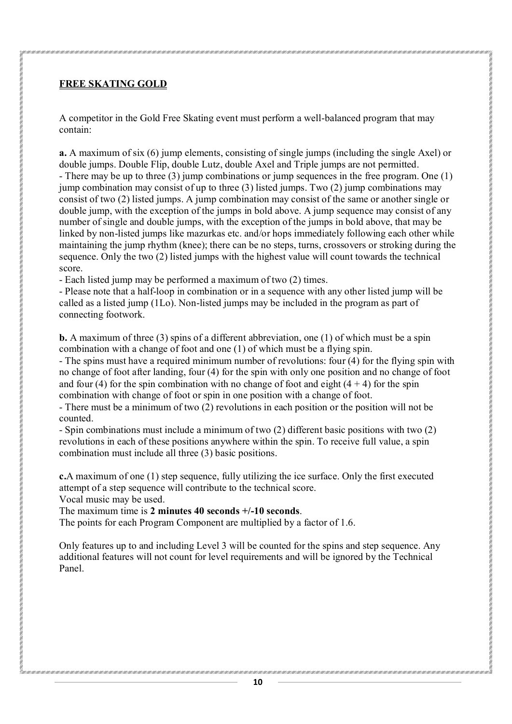A competitor in the Gold Free Skating event must perform a well-balanced program that may contain:

**a.** A maximum of six (6) jump elements, consisting of single jumps (including the single Axel) or double jumps. Double Flip, double Lutz, double Axel and Triple jumps are not permitted. - There may be up to three (3) jump combinations or jump sequences in the free program. One (1) jump combination may consist of up to three (3) listed jumps. Two (2) jump combinations may consist of two (2) listed jumps. A jump combination may consist of the same or another single or double jump, with the exception of the jumps in bold above. A jump sequence may consist of any number of single and double jumps, with the exception of the jumps in bold above, that may be linked by non-listed jumps like mazurkas etc. and/or hops immediately following each other while maintaining the jump rhythm (knee); there can be no steps, turns, crossovers or stroking during the sequence. Only the two (2) listed jumps with the highest value will count towards the technical score.

- Each listed jump may be performed a maximum of two (2) times.

- Please note that a half-loop in combination or in a sequence with any other listed jump will be called as a listed jump (1Lo). Non-listed jumps may be included in the program as part of connecting footwork.

**b.** A maximum of three (3) spins of a different abbreviation, one (1) of which must be a spin combination with a change of foot and one (1) of which must be a flying spin.

- The spins must have a required minimum number of revolutions: four (4) for the flying spin with no change of foot after landing, four (4) for the spin with only one position and no change of foot and four (4) for the spin combination with no change of foot and eight  $(4 + 4)$  for the spin combination with change of foot or spin in one position with a change of foot.

- There must be a minimum of two (2) revolutions in each position or the position will not be counted.

- Spin combinations must include a minimum of two (2) different basic positions with two (2) revolutions in each of these positions anywhere within the spin. To receive full value, a spin combination must include all three (3) basic positions.

**c.**A maximum of one (1) step sequence, fully utilizing the ice surface. Only the first executed attempt of a step sequence will contribute to the technical score.

Vocal music may be used.

The maximum time is **2 minutes 40 seconds +/-10 seconds**.

The points for each Program Component are multiplied by a factor of 1.6.

Only features up to and including Level 3 will be counted for the spins and step sequence. Any additional features will not count for level requirements and will be ignored by the Technical Panel.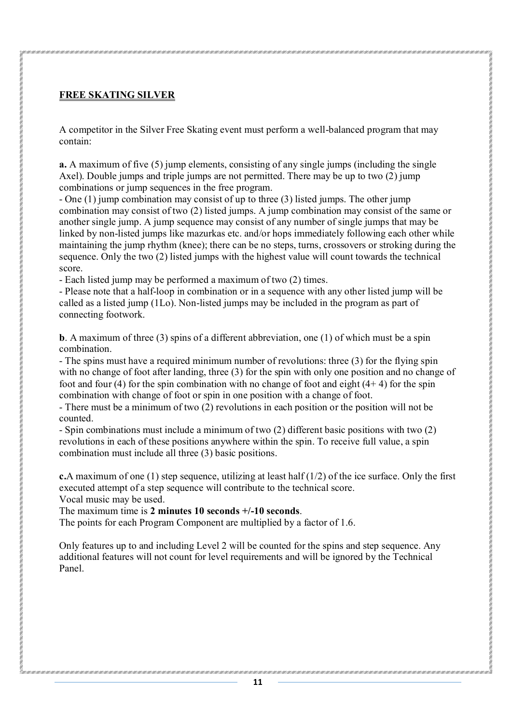A competitor in the Silver Free Skating event must perform a well-balanced program that may contain:

**a.** A maximum of five (5) jump elements, consisting of any single jumps (including the single Axel). Double jumps and triple jumps are not permitted. There may be up to two (2) jump combinations or jump sequences in the free program.

- One (1) jump combination may consist of up to three (3) listed jumps. The other jump combination may consist of two (2) listed jumps. A jump combination may consist of the same or another single jump. A jump sequence may consist of any number of single jumps that may be linked by non-listed jumps like mazurkas etc. and/or hops immediately following each other while maintaining the jump rhythm (knee); there can be no steps, turns, crossovers or stroking during the sequence. Only the two (2) listed jumps with the highest value will count towards the technical score.

- Each listed jump may be performed a maximum of two (2) times.

- Please note that a half-loop in combination or in a sequence with any other listed jump will be called as a listed jump (1Lo). Non-listed jumps may be included in the program as part of connecting footwork.

**b**. A maximum of three (3) spins of a different abbreviation, one (1) of which must be a spin combination.

- The spins must have a required minimum number of revolutions: three (3) for the flying spin with no change of foot after landing, three (3) for the spin with only one position and no change of foot and four (4) for the spin combination with no change of foot and eight  $(4+4)$  for the spin combination with change of foot or spin in one position with a change of foot.

- There must be a minimum of two (2) revolutions in each position or the position will not be counted.

- Spin combinations must include a minimum of two (2) different basic positions with two (2) revolutions in each of these positions anywhere within the spin. To receive full value, a spin combination must include all three (3) basic positions.

**c.**A maximum of one (1) step sequence, utilizing at least half (1/2) of the ice surface. Only the first executed attempt of a step sequence will contribute to the technical score.

Vocal music may be used.

The maximum time is **2 minutes 10 seconds +/-10 seconds**.

The points for each Program Component are multiplied by a factor of 1.6.

Only features up to and including Level 2 will be counted for the spins and step sequence. Any additional features will not count for level requirements and will be ignored by the Technical Panel.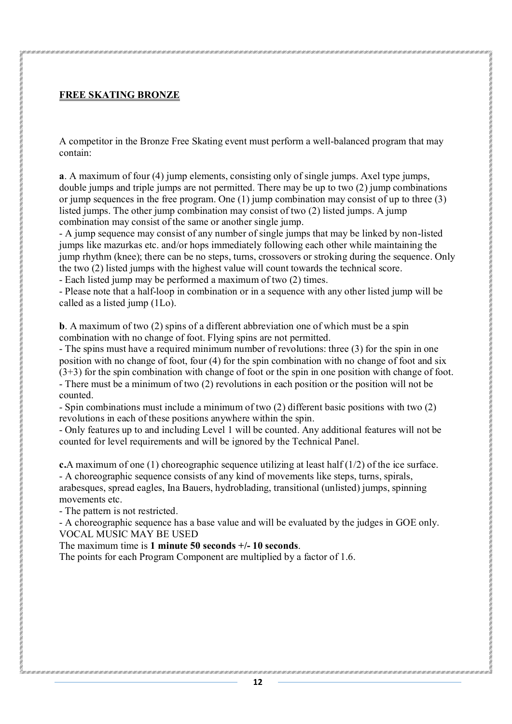A competitor in the Bronze Free Skating event must perform a well-balanced program that may contain:

**a**. A maximum of four (4) jump elements, consisting only of single jumps. Axel type jumps, double jumps and triple jumps are not permitted. There may be up to two (2) jump combinations or jump sequences in the free program. One (1) jump combination may consist of up to three (3) listed jumps. The other jump combination may consist of two (2) listed jumps. A jump combination may consist of the same or another single jump.

- A jump sequence may consist of any number of single jumps that may be linked by non-listed jumps like mazurkas etc. and/or hops immediately following each other while maintaining the jump rhythm (knee); there can be no steps, turns, crossovers or stroking during the sequence. Only the two (2) listed jumps with the highest value will count towards the technical score.

- Each listed jump may be performed a maximum of two (2) times.

- Please note that a half-loop in combination or in a sequence with any other listed jump will be called as a listed jump (1Lo).

**b**. A maximum of two (2) spins of a different abbreviation one of which must be a spin combination with no change of foot. Flying spins are not permitted.

- The spins must have a required minimum number of revolutions: three (3) for the spin in one position with no change of foot, four (4) for the spin combination with no change of foot and six (3+3) for the spin combination with change of foot or the spin in one position with change of foot.

- There must be a minimum of two (2) revolutions in each position or the position will not be counted.

- Spin combinations must include a minimum of two (2) different basic positions with two (2) revolutions in each of these positions anywhere within the spin.

- Only features up to and including Level 1 will be counted. Any additional features will not be counted for level requirements and will be ignored by the Technical Panel.

**c.**A maximum of one (1) choreographic sequence utilizing at least half (1/2) of the ice surface. - A choreographic sequence consists of any kind of movements like steps, turns, spirals, arabesques, spread eagles, Ina Bauers, hydroblading, transitional (unlisted) jumps, spinning movements etc.

- The pattern is not restricted.

- A choreographic sequence has a base value and will be evaluated by the judges in GOE only. VOCAL MUSIC MAY BE USED

## The maximum time is **1 minute 50 seconds +/- 10 seconds**.

The points for each Program Component are multiplied by a factor of 1.6.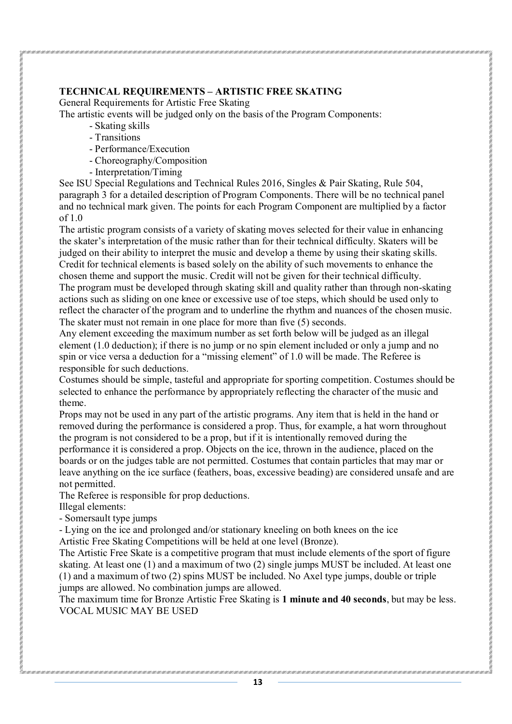# **TECHNICAL REQUIREMENTS – ARTISTIC FREE SKATING**

General Requirements for Artistic Free Skating

The artistic events will be judged only on the basis of the Program Components:

- Skating skills
- Transitions
- Performance/Execution
- Choreography/Composition
- Interpretation/Timing

See ISU Special Regulations and Technical Rules 2016, Singles & Pair Skating, Rule 504, paragraph 3 for a detailed description of Program Components. There will be no technical panel and no technical mark given. The points for each Program Component are multiplied by a factor of 1.0

The artistic program consists of a variety of skating moves selected for their value in enhancing the skater's interpretation of the music rather than for their technical difficulty. Skaters will be judged on their ability to interpret the music and develop a theme by using their skating skills. Credit for technical elements is based solely on the ability of such movements to enhance the chosen theme and support the music. Credit will not be given for their technical difficulty. The program must be developed through skating skill and quality rather than through non-skating actions such as sliding on one knee or excessive use of toe steps, which should be used only to reflect the character of the program and to underline the rhythm and nuances of the chosen music. The skater must not remain in one place for more than five (5) seconds.

Any element exceeding the maximum number as set forth below will be judged as an illegal element (1.0 deduction); if there is no jump or no spin element included or only a jump and no spin or vice versa a deduction for a "missing element" of 1.0 will be made. The Referee is responsible for such deductions.

Costumes should be simple, tasteful and appropriate for sporting competition. Costumes should be selected to enhance the performance by appropriately reflecting the character of the music and theme.

Props may not be used in any part of the artistic programs. Any item that is held in the hand or removed during the performance is considered a prop. Thus, for example, a hat worn throughout the program is not considered to be a prop, but if it is intentionally removed during the performance it is considered a prop. Objects on the ice, thrown in the audience, placed on the boards or on the judges table are not permitted. Costumes that contain particles that may mar or leave anything on the ice surface (feathers, boas, excessive beading) are considered unsafe and are not permitted.

The Referee is responsible for prop deductions.

Illegal elements:

- Somersault type jumps

- Lying on the ice and prolonged and/or stationary kneeling on both knees on the ice Artistic Free Skating Competitions will be held at one level (Bronze).

The Artistic Free Skate is a competitive program that must include elements of the sport of figure skating. At least one (1) and a maximum of two (2) single jumps MUST be included. At least one (1) and a maximum of two (2) spins MUST be included. No Axel type jumps, double or triple jumps are allowed. No combination jumps are allowed.

The maximum time for Bronze Artistic Free Skating is **1 minute and 40 seconds**, but may be less. VOCAL MUSIC MAY BE USED

1990 / 1990 / 1990 / 1990 / 1990 / 1990 / 1990 / 1990 / 1990 / 1990 / 1990 / 1990 / 1990 / 1990 / 1990 / 1990 / 1990 / 1990 / 1990 / 1990 / 1990 / 1990 / 1990 / 1990 / 1990 / 1990 / 1990 / 1990 / 1990 / 1990 / 1990 / 1990